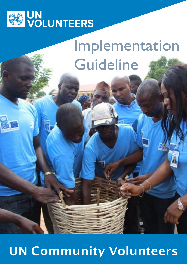

# Implementation Guideline

## UN Community Volunteers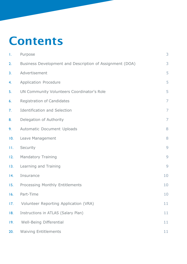### Contents

| Τ.  | Purpose                                                  | 3              |
|-----|----------------------------------------------------------|----------------|
| 2.  | Business Development and Description of Assignment (DOA) | 3              |
| 3.  | Advertisement                                            | 5              |
| 4.  | Application Procedure                                    | 5              |
| 5.  | UN Community Volunteers Coordinator's Role               | 5              |
| 6.  | <b>Registration of Candidates</b>                        | $\overline{7}$ |
| 7.  | <b>Identification and Selection</b>                      | $\overline{7}$ |
| 8.  | Delegation of Authority                                  | $\overline{7}$ |
| 9.  | Automatic Document Uploads                               | 8              |
| 10. | Leave Management                                         | 8              |
| П.  | Security                                                 | 9              |
| 12. | <b>Mandatory Training</b>                                | 9              |
| 13. | Learning and Training                                    | 9              |
| 4.  | Insurance                                                | 10             |
| 15. | <b>Processing Monthly Entitlements</b>                   | 10             |
| 16. | Part-Time                                                | 10             |
| 17. | Volunteer Reporting Application (VRA)                    | 11             |
| 18. | Instructions in ATLAS (Salary Plan)                      | 11             |
| 19. | Well-Being Differential                                  | 11             |
| 20. | <b>Waiving Entitlements</b>                              | 11             |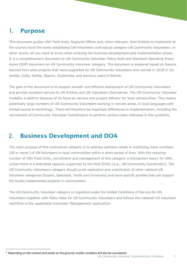#### <span id="page-2-0"></span>1. Purpose

This document guides UNV Field Units, Regional Offices and, when relevant, Host Entities to implement at the country level the newly established UN Volunteers contractual category-UN Community Volunteers. In other words, all you need to know when entering the business development and implementation phase. It is a complementary document to UN Community Volunteer Policy Note and Standard Operating Procedures (SOP) document on UN Community Volunteer category. The document is prepared based on lessons learned from pilot projects that were supported by UN Community Volunteers who served in 2018 in Colombia, India, Serbia, Nigeria, Guatemala, and previous years in Bolivia.

The goal of the document is to support smooth and efficient deployment of UN Community Volunteers and provide excellent service to UN Entities and UN Volunteers themselves. The UN Community Volunteer modality is distinct because of its focus on service and project delivery for local communities. This means potentially large numbers of UN Community Volunteers working in remote areas, in local languages with limited access to technology. There will therefore be important differences in implementation, including the recruitment of Community Volunteer Coordinators to perform various tasks indicated in this guideline.

### 2. Business Development and DOA

The main purpose of this contractual category is to address partners needs in mobilizing mass numbers (50 or more<sup>1</sup>) of UN Volunteers in local communities within a short period of time. With the reducing number of UNV Field Units, recruitment and management of this category is transaction heavy for UNV, unless there is a dedicated capacity supported by the Host Entity (e.g., UN Community Coordinator). The UN Community Volunteers category should avoid replication and substitution of other national UN Volunteer categories (Expert, Specialist, Youth and University) and have specific profiles that can support the locally implemented projects in communities.

The UN Community Volunteer category is regulated under the Unified Conditions of Service for UN Volunteers together with Policy Note for UN Community Volunteers and follows the national UN Volunteer workflow in the applicable Volunteer Management application.

 $<sup>1</sup>$  Depending on the context and needs on the ground, smaller numbers will also be considered</sup>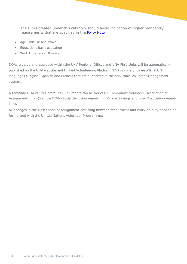The DOAs created under this category should avoid indication of higher mandatory requirements that are specified in the **[Policy](https://www.unv.org/sites/default/files/unvpf/Community%20Volunteer%20Policy%20Note.pdf) Note** 

- Age Limit: 18 and above
- Education: Basic education
- Work Experience: 0 years

DOAs created and approved within the UNV Regional Offices and UNV Field Units will be automatically published on the UNV website and Unified Volunteering Platform (UVP) in one of three official UN languages (English, Spanish and French) that are supported in the applicable Volunteer Management system.

A template DOA of UN Community Volunteers can be found UN Community Volunteer-Description of Assignment [\(link\)](https://www.unv.org/sites/default/files/DoA%20Template%20Community%20Volunteer_0.docx) (Sample DOAs-Social Inclusion Agent[-link;](https://undp.sharepoint.com/:w:/r/sites/UNVknowledgeMng/Policy%20Laboratory/Community%20Social%20Inclusion%20Agent%20DOA.docx?d=wac80acf023cc4f999891a529238a024d&csf=1&e=4stFh9) Village Savings and Loan Association Agent[link\).](https://undp.sharepoint.com/:w:/r/sites/UNVknowledgeMng/Policy%20Laboratory/Village%20Savings%20and%20Loan%20Association%20Agent%20DOA.docx?d=w822fb6cfdc7f49818423b016bd1a0c62&csf=1&e=rbQWbW)

All changes in the Description of Assignment occurring between recruitment and entry on duty need to be formalized with the United Nations Volunteer Programme.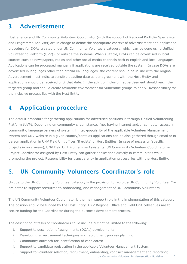#### <span id="page-4-0"></span>3. Advertisement

Host agency and UN Community Volunteer Coordinator (with the support of Regional Portfolio Specialists and Programme Analysts) are in charge to define the appropriate context of advertisement and application procedure for DOAs created under UN Community Volunteers category, which can be done using Unified Volunteering Platform (UVP) - or outside the systems. When suitable, DOAs can be advertised in local sources such as newspapers, radios and other social media channels both in English and local languages. Applications can be processed manually if applications are received outside the system. In case DOAs are advertised in languages other than official UN languages, the content should be in line with the original. Advertisement must indicate sensible deadline date as per agreement with the Host Entity and applications should be received until that date. In the spirit of inclusion, advertisement should reach the targeted group and should create favorable environment for vulnerable groups to apply. Responsibility for the inclusive process lies with the Host Entity.

#### <span id="page-4-1"></span>4. Application procedure

The default procedure for gathering applications for advertised positions is through Unified Volunteering Platform (UVP). Depending on community circumstances (not having internet and/or computer access in community, language barriers of system, limited-popularity of the applicable Volunteer Management system and UNV website in a given country/context) applications can be also gathered through email or in person application in UNV Field Unit offices (if exists) or Host Entities. In case of necessity (specific projects in rural areas), UNV Field Unit Programme Assistants, UN Community Volunteer Coordinator or Project Coordinator assigned by Host Entity can gather applications directly in communities while promoting the project. Responsibility for transparency in application process lies with the Host Entity.

### <span id="page-4-2"></span>5. UN Community Volunteers Coordinator's role

Unique to the UN Community Volunteer category is the provision to recruit a UN Community Volunteer Coordinator to support recruitment, onboarding, and management of UN Community Volunteers.

The UN Community Volunteer Coordinator is the main support role in the implementation of this category. The position should be funded by the Host Entity. UNV Regional Office and Field Unit colleagues are to secure funding for the Coordinator during the business development process.

The description of tasks of Coordinators could include but not be limited to the following:

- 1. Support to description of assignments (DOAs) development;
- 2. Developing advertisement techniques and recruitment process planning;
- 3. Community outreach for identification of candidates;
- 4. Support to candidate registration in the applicable Volunteer Management System;
- 5. Support to volunteer selection, recruitment, onboarding, contract management and reporting;

UN Community Volunteer Implementation Guideline 5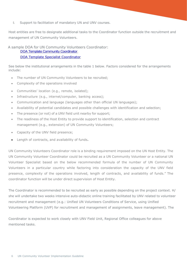6. Support to facilitation of mandatory UN and UNV courses.

Host entities are free to designate additional tasks to the Coordinator function outside the recruitment and management of UN Community Volunteers.

 A sample DOA for UN Community Volunteers Coordinator: DOA [Template Community Coordinator](https://www.unv.org/sites/default/files/unvpf/UN%20Community%20Coordinator-DOA.docx)

#### [DOA Template Specialist Coordinator](https://www.unv.org/sites/default/files/unvpf/UN%20Specialist%20Coordinator-DOA_Specialist.docx)

See below the institutional arrangements in the table 1 below. Factors considered for the arrangements include:

- The number of UN Community Volunteers to be recruited;
- Complexity of the operations involved
- Communities' location (e.g., remote, isolated);
- Infrastructure (e.g., internet/computer, banking access);
- Communication and language (languages other than official UN languages);
- Availability of potential candidates and possible challenges with identification and selection;
- The presence (or not) of a UNV field unit nearby for support;
- The readiness of the Host Entity to provide support to identification, selection and contract management (e.g., extension) of UN Community Volunteers;
- Capacity of the UNV field presence;
- Length of contracts, and availability of funds.

UN Community Volunteers Coordinator role is a binding requirement imposed on the UN Host Entity. The UN Community Volunteer Coordinator could be recruited as a UN Community Volunteer or a national UN Volunteer Specialist based on the below recommended formula of the number of UN Community Volunteers in a particular country while factoring into consideration the capacity of the UNV field presence, complexity of the operations involved, length of contracts, and availability of funds." The coordinator function will be under direct supervision of Host Entity.

The Coordinator is recommended to be recruited as early as possible depending on the project context. H/ she will undertake two weeks intensive auto-didactic online training facilitated by UNV related to volunteer recruitment and management (e.g.: Unified UN Volunteers Conditions of Service, using Unified Volunteering Platform (UVP) for recruitment and management of assignments, leave management). The

Coordinator is expected to work closely with UNV Field Unit, Regional Office colleagues for above mentioned tasks.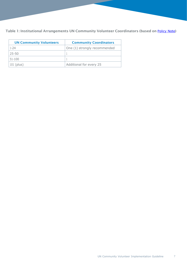Table 1: Institutional Arrangements UN Community Volunteer Coordinators (based on [Policy](https://www.unv.org/sites/default/files/unvpf/Community%20Volunteer%20Policy%20Note.pdf) Note)

| <b>UN Community Volunteers</b> | <b>Community Coordinators</b> |
|--------------------------------|-------------------------------|
| $1 - 24$                       | One (1) strongly recommended  |
| $25 - 50$                      |                               |
| $51 - 100$                     |                               |
| $101$ (plus)                   | Additional for every 25       |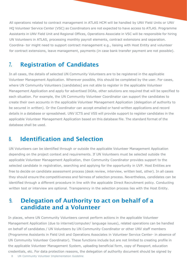All operations related to contract management in ATLAS HCM will be handled by UNV Field Units or UNV HQ Volunteer Service Center (VSC) as Coordinators are not expected to have access to ATLAS. Programme Assistants in UNV Field Unit and Regional Offices, Operations Associate in VSC will be responsible for hiring UN Volunteers in ATLAS, processing monthly payroll elements, contract extensions and separation. Coordina- tor might need to support contract management e.g., liaising with Host Entity and volunteer for contract extensions, leave management, payments (in case bank transfer payment are not possible).

#### <span id="page-7-0"></span>7. Registration of Candidates

In all cases, the details of selected UN Community Volunteers are to be registered in the applicable Volunteer Management Application. Wherever possible, this should be completed by the user. For cases, where UN Community Volunteers [candidates] are not able to register in the applicable Volunteer Management Application and apply for advertised DOAs, other solutions are required that will be specified to each situation. For example, the UN Community Volunteer Coordinator can support the candidates to create their own accounts in the applicable Volunteer Management Application (delegation of authority to be secured in written). Or the Coordinator can accept emailed or hand-written applications and record details in a database or spreadsheet. UNV ICTS and VSS will provide support to register candidates in the applicable Volunteer Management Application based on this database file. The standard format of the database shall be used.

#### 8. Identification and Selection

UN Volunteers can be identified through or outside the applicable Volunteer Management Application depending on the project context and requirements. If UN Volunteers must be selected outside the applicable Volunteer Management Application, then Community Coordinator provides support to the selected candidate in registration, searching and applying for the opportunity in UVP. Host Entities are free to decide on candidate assessment process (desk review, interview, written test, other). In all cases they should ensure the competitiveness and fairness of selection process. Nevertheless, candidates can be identified through a different procedure in line with the applicable Direct Recruitment policy. Conducting written test or interview are optional. Transparency in the selection process lies with the Host Entity.

#### 9. Delegation of Authority to act on behalf of a candidate and a Volunteer

In places, where UN Community Volunteers cannot perform actions in the applicable Volunteer Management Application (due to internet/computer/ language issues), related operations can be handled on behalf of candidates / UN Volunteers by UN Community Coordinator or other UNV staff members (Programme Assistants in Field Unit and Operations Associates in Volunteer Service Center- in absence of UN Community Volunteer Coordinator). These functions include but are not limited to creating profile in the applicable Volunteer Management System, uploading beneficial form, copy of Passport, education credentials, etc. For data protection reasons, the delegation of authority document should be signed by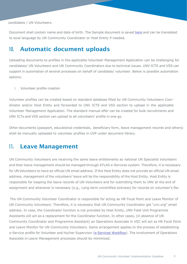candidates / UN Volunteers.

Document shall contain name and date of birth. The Sample document is saved here and can be translated to local language by UN Community Coordinator or Host Entity if needed.

#### <span id="page-8-0"></span>10. Automatic document uploads

Uploading documents to profiles in the applicable Volunteer Management Application can be challenging for candidates/ UN Volunteers and UN Community Coordinators due to technical issues. UNV ICTS and VSS can support in automation of several processes on behalf of candidate/ volunteer. Below is possible automation options:

1. Volunteer profile creation

Volunteer profiles can be created based on standard database filled by UN Community Volunteers Coordinator and/or Host Entity and forwarded to UNV ICTS and VSS section to upload in the applicable Volunteer Management Application. The standard manual offer can be created for bulk recruitments and UNV ICTs and VSS section can upload to all volunteers' profile in one go.

Other documents (passport, educational credentials, beneficiary form, leave management records and others) shall be manually uploaded to volunteer profiles in UVP under document library.

#### <span id="page-8-1"></span>11. Leave Management

UN Community Volunteers are receiving the same leave entitlements as national UN Specialist Volunteers and their leave management should be managed through ATLAS e-Services system. Therefore, it is necessary for UN Volunteers to have an official UN email address. If the Host Entity does not provide an official UN email address, management of the volunteers' leave will be the responsibility of the Host Entity. Host Entity is responsible for keeping the leave records of UN Volunteers and for submitting them to UNV at the end of assignment and whenever is necessary (e.g., Long-term uncertified sickness) for records on volunteer's file.

The UN Community Volunteer Coordinator is responsible for acting as HR Focal Point and Leave Monitor of UN Community Volunteers. Therefore, it is necessary that UN Community Coordinator get "unv.org" email address. In case, the Coordinator function is not provided by Host Entity, UNV Field Unit Programme Assistants will act as a replacement for the Coordinator function. In other cases, (in absence of UN Community Coordinator and Programme Assistant) an Operations Associate in VSC will act as HR Focal Point and Leave Monitor for UN Community Volunteers. Same arrangement applies to the process of establishing e-Service profile for Volunteer and his/her Supervisor (e-Services Workflow). The involvement of Operations Associate in Leave Management processes should be minimized.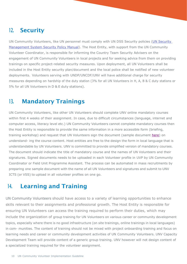#### <span id="page-9-0"></span>12. Security

UN Community Volunteers, like UN personnel must comply with UN DSS Security policies (UN Security Management System Security Policy Manual). The Host Entity, with support from the UN Community Volunteer Coordinator, is responsible for informing the Country Team Security Advisers on the engagement of UN Community Volunteers in local projects and for seeking advice from them on providing trainings on specific project-related security measures. Upon deployment, all UN Volunteers shall be included in the Host Entity security plan/document and the local police shall be notified of new volunteer deployments. Volunteers serving with UNDP/UNCDF/UNV will have additional charge for security measures depending on hardship of the duty station (3% for all UN Volunteers in H, A, B & C duty stations or 5% for all UN Volunteers in D & E duty stations).

#### 13. Mandatory Trainings

UN Community Volunteers, like other UN Volunteers should complete UNV online mandatory courses within first 4 weeks of their assignment. In case, due to difficult circumstances (language, internet and computer access, literacy level etc.) UN Community Volunteers cannot complete mandatory courses then the Host Entity is responsible to provide the same information in a more accessible form (briefing, training workshop) and request that UN Volunteers sign the document (sample document [here\)](https://www.unv.org/sites/default/files/unvpf/UNV%20Core%20Mandatory%20Courses.docx) on understand- ing the course content. Host entities are free to the design the form in local language that is understandable by UN Volunteers. UNV is committed to provide simplified version of mandatory courses. The document should indicate the title of mandatory course and the names of UN Volunteers and their signatures. Signed documents needs to be uploaded in each Volunteer profile in UVP by UN Community Coordinator or Field Unit Programme Assistant. The process can be automated in mass recruitments by preparing one sample document with the name of all UN Volunteers and signatures and submit to UNV ICTS (or VSS) to upload in all volunteer profiles on one go.

#### <span id="page-9-1"></span>14. Learning and Training

UN Community Volunteers should have access to a variety of learning opportunities to enhance skills relevant to their assignments and professional growth. The Host Entity is responsible for ensuring UN Volunteers can access the training required to perform their duties, which may include the organization of group training for UN Volunteers on various career or community development topics, especially where there is no good infrastructure (on site trainings, online trainings in local languages) in com- munities. The content of training should not be mixed with project onboarding training and focus on learning needs and career or community development activities of UN Community Volunteers. UNV Capacity Development Team will provide content of a generic group training. UNV however will not design content of a specialized training required for the volunteer assignment.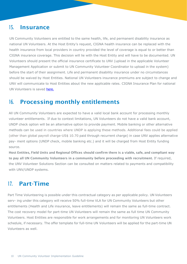#### <span id="page-11-0"></span>15. Insurance

UN Community Volunteers are entitled to the same health, life, and permanent disability insurance as national UN Volunteers. At the Host Entity's request, CIGNA health insurance can be replaced with the health insurance from local providers in country provided the level of coverage is equal to or better than CIGNA insurance coverage. This decision will lie with the Host Entity and will have to be documented. UN Volunteers should present the official insurance certificate to UNV (upload in the applicable Volunteer Management Application or submit to UN Community Volunteer Coordinator to upload in the system) before the start of their assignment. Life and permanent disability insurance under no circumstances should be waived by Host Entities. National UN Volunteers insurance premiums are subject to change and UNV will communicate to Host Entities about the new applicable rates. CIGNA Insurance Plan for national UN Volunteers is saved [here.](https://toolkit.unv.org/sites/default/files/2021-10/Cigna2021_AnnexIV_DOB_NUNV.pdf)

#### <span id="page-11-1"></span>16. Processing monthly entitlements

All UN Community Volunteers are expected to have a valid local bank account for processing monthly volunteer entitlements. If due to context limitations, UN Volunteers do not have a valid bank account, UNDP check option will be an alternative option to provide payment. Mobile banking or other alternative methods can be used in countries where UNDP is applying these methods. Additional fees could be applied (other than global payroll charge-US\$ 10.70 paid through recurrent charge) in case UNV applies alternative pay- ment options (UNDP check, mobile banking etc.) and it will be charged from Host Entity funding source.

Host Entities, Field Units and Regional Offices should confirm there is a viable, safe, and compliant way to pay all UN Community Volunteers in a community before proceeding with recruitment. If required, the UNV Volunteer Solutions Section can be consulted on matters related to payments and compatibility with UNV/UNDP systems.

#### <span id="page-11-2"></span>17. Part-Time

Part Time Volunteering is possible under this contractual category as per applicable policy. UN Volunteers serv- ing under this category will receive 50% full-time VLA for UN Community Volunteers but other entitlements (Health and Life insurance, leave entitlements) will remain the same as full-time contract. The cost recovery model for part-time UN Volunteers will remain the same as full time UN Community Volunteers. Host Entities are responsible for work arrangements and for monitoring UN Volunteers work schedule, if necessary. The offer template for full-time UN Volunteers will be applied for the part-time UN Volunteers as well.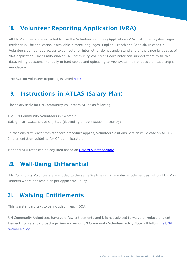#### <span id="page-12-0"></span>18. Volunteer Reporting Application (VRA)

All UN Volunteers are expected to use the Volunteer Reporting Application (VRA) with their system login credentials. The application is available in three languages- English, French and Spanish. In case UN Volunteers do not have access to computer or internet, or do not understand any of the three languages of VRA application, Host Entity and/or UN Community Volunteer Coordinator can support them to fill this data. Filling questions manually in hard copies and uploading to VRA system is not possible. Reporting is mandatory.

The SOP on Volunteer Reporting is saved here.

#### <span id="page-12-1"></span>19. Instructions in ATLAS (Salary Plan)

The salary scale for UN Community Volunteers will be as following.

E.g. UN Community Volunteers in Colombia Salary Plan: COLZ, Grade UT, Step (depending on duty station in country)

In case any difference from standard procedure applies, Volunteer Solutions Section will create an ATLAS Implementation guideline for GP administrators.

National VLA rates can be adjusted based on UNV VLA Methodology.

#### <span id="page-12-2"></span>20. Well-Being Differential

UN Community Volunteers are entitled to the same Well-Being Differential entitlement as national UN Volunteers where applicable as per applicable Policy.

#### <span id="page-12-3"></span>21. Waiving Entitlements

This is a standard text to be included in each DOA.

UN Community Volunteers have very few entitlements and it is not advised to waive or reduce any entitlement from standard package. Any waiver on UN Community Volunteer Policy Note will follow the UNV Waiver Policy.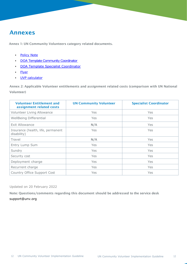#### Annexes

Annex 1: UN Community Volunteers category related documents.

- Policy Note
- DOA Template Community Coordinator
- DOA Template Specialist Coordinator
- Flyer
- UVP calculator

Annex 2: Applicable Volunteer entitlements and assignment related costs (comparison with UN National Volunteer)

| <b>Volunteer Entitlement and</b><br>assignment related costs | <b>UN Community Volunteer</b> | <b>Specialist Coordinator</b> |
|--------------------------------------------------------------|-------------------------------|-------------------------------|
| Volunteer Living Allowance                                   | <b>Yes</b>                    | Yes                           |
| <b>WellBeing Differential</b>                                | <b>Yes</b>                    | Yes                           |
| <b>Exit Allowance</b>                                        | N/A                           | Yes                           |
| Insurance (health, life, permanent<br>disability)            | <b>Yes</b>                    | <b>Yes</b>                    |
| Travel                                                       | N/A                           | Yes                           |
| Entry Lump Sum                                               | Yes                           | Yes                           |
| Sundry                                                       | <b>Yes</b>                    | Yes                           |
| Security cost                                                | Yes                           | Yes                           |
| Deployment charge                                            | <b>Yes</b>                    | Yes                           |
| Recurrent charge                                             | Yes                           | Yes                           |
| Country Office Support Cost                                  | Yes                           | <b>Yes</b>                    |

Updated on 20 February 2022

Note: Questions/comments regarding this document should be addressed to the service desk support@unv.org